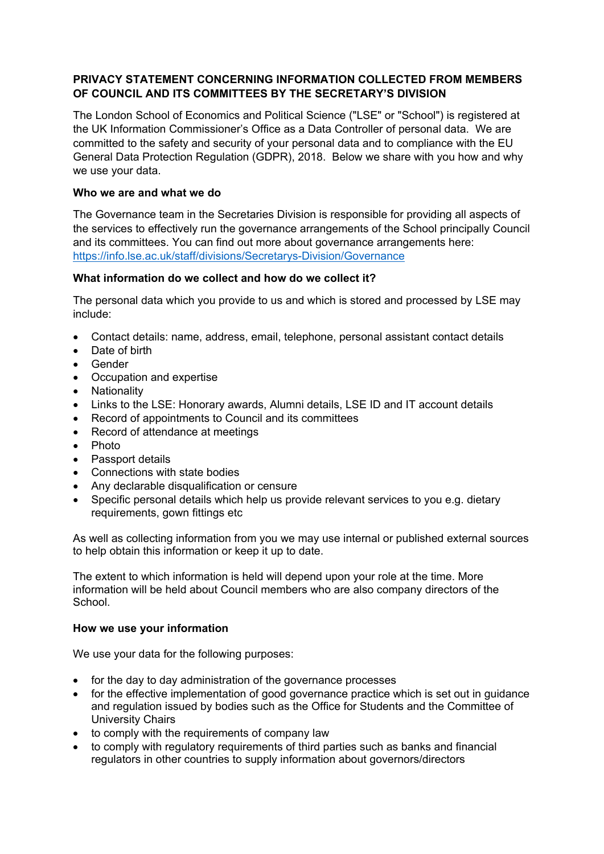### **PRIVACY STATEMENT CONCERNING INFORMATION COLLECTED FROM MEMBERS OF COUNCIL AND ITS COMMITTEES BY THE SECRETARY'S DIVISION**

The London School of Economics and Political Science ("LSE" or "School") is registered at the UK Information Commissioner's Office as a Data Controller of personal data. We are committed to the safety and security of your personal data and to compliance with the EU General Data Protection Regulation (GDPR), 2018. Below we share with you how and why we use your data.

#### **Who we are and what we do**

The Governance team in the Secretaries Division is responsible for providing all aspects of the services to effectively run the governance arrangements of the School principally Council and its committees. You can find out more about governance arrangements here: <https://info.lse.ac.uk/staff/divisions/Secretarys-Division/Governance>

# **What information do we collect and how do we collect it?**

The personal data which you provide to us and which is stored and processed by LSE may include:

- Contact details: name, address, email, telephone, personal assistant contact details
- Date of birth
- Gender
- Occupation and expertise
- Nationality
- Links to the LSE: Honorary awards, Alumni details, LSE ID and IT account details
- Record of appointments to Council and its committees
- Record of attendance at meetings
- Photo
- Passport details
- Connections with state bodies
- Any declarable disqualification or censure
- Specific personal details which help us provide relevant services to you e.g. dietary requirements, gown fittings etc

As well as collecting information from you we may use internal or published external sources to help obtain this information or keep it up to date.

The extent to which information is held will depend upon your role at the time. More information will be held about Council members who are also company directors of the School.

#### **How we use your information**

We use your data for the following purposes:

- for the day to day administration of the governance processes
- for the effective implementation of good governance practice which is set out in quidance and regulation issued by bodies such as the Office for Students and the Committee of University Chairs
- to comply with the requirements of company law
- to comply with regulatory requirements of third parties such as banks and financial regulators in other countries to supply information about governors/directors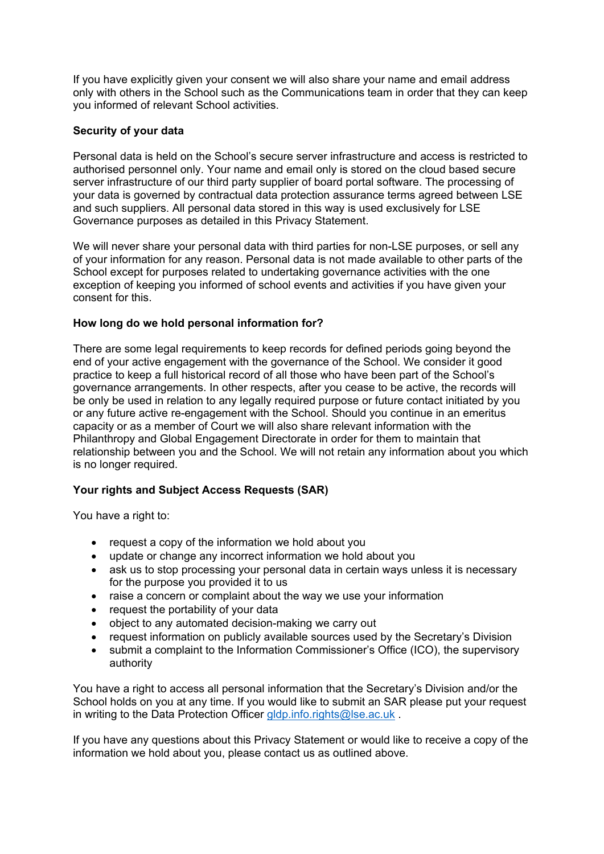If you have explicitly given your consent we will also share your name and email address only with others in the School such as the Communications team in order that they can keep you informed of relevant School activities.

### **Security of your data**

Personal data is held on the School's secure server infrastructure and access is restricted to authorised personnel only. Your name and email only is stored on the cloud based secure server infrastructure of our third party supplier of board portal software. The processing of your data is governed by contractual data protection assurance terms agreed between LSE and such suppliers. All personal data stored in this way is used exclusively for LSE Governance purposes as detailed in this Privacy Statement.

We will never share your personal data with third parties for non-LSE purposes, or sell any of your information for any reason. Personal data is not made available to other parts of the School except for purposes related to undertaking governance activities with the one exception of keeping you informed of school events and activities if you have given your consent for this.

#### **How long do we hold personal information for?**

There are some legal requirements to keep records for defined periods going beyond the end of your active engagement with the governance of the School. We consider it good practice to keep a full historical record of all those who have been part of the School's governance arrangements. In other respects, after you cease to be active, the records will be only be used in relation to any legally required purpose or future contact initiated by you or any future active re-engagement with the School. Should you continue in an emeritus capacity or as a member of Court we will also share relevant information with the Philanthropy and Global Engagement Directorate in order for them to maintain that relationship between you and the School. We will not retain any information about you which is no longer required.

# **Your rights and Subject Access Requests (SAR)**

You have a right to:

- request a copy of the information we hold about you
- update or change any incorrect information we hold about you
- ask us to stop processing your personal data in certain ways unless it is necessary for the purpose you provided it to us
- raise a concern or complaint about the way we use your information
- request the portability of your data
- object to any automated decision-making we carry out
- request information on publicly available sources used by the Secretary's Division
- submit a complaint to the Information Commissioner's Office (ICO), the supervisory authority

You have a right to access all personal information that the Secretary's Division and/or the School holds on you at any time. If you would like to submit an SAR please put your request in writing to the Data Protection Officer [gldp.info.rights@lse.ac.uk](mailto:gldp.info.rights@lse.ac.uk).

If you have any questions about this Privacy Statement or would like to receive a copy of the information we hold about you, please contact us as outlined above.